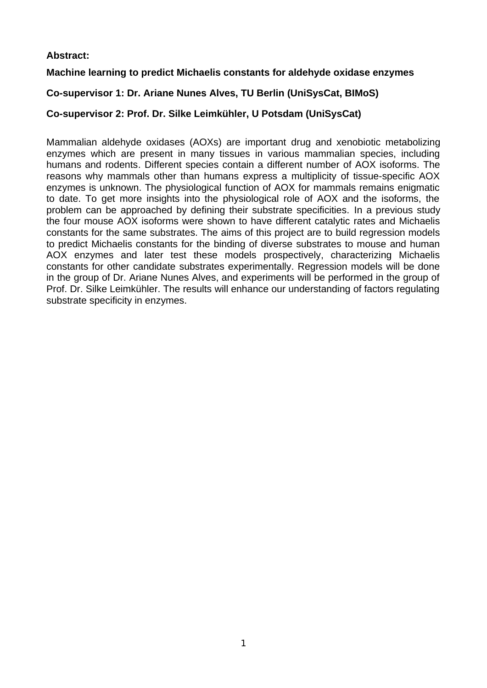# **Abstract:**

# **Machine learning to predict Michaelis constants for aldehyde oxidase enzymes**

# **Co-supervisor 1: Dr. Ariane Nunes Alves, TU Berlin (UniSysCat, BIMoS)**

# **Co-supervisor 2: Prof. Dr. Silke Leimkühler, U Potsdam (UniSysCat)**

Mammalian aldehyde oxidases (AOXs) are important drug and xenobiotic metabolizing enzymes which are present in many tissues in various mammalian species, including humans and rodents. Different species contain a different number of AOX isoforms. The reasons why mammals other than humans express a multiplicity of tissue-specific AOX enzymes is unknown. The physiological function of AOX for mammals remains enigmatic to date. To get more insights into the physiological role of AOX and the isoforms, the problem can be approached by defining their substrate specificities. In a previous study the four mouse AOX isoforms were shown to have different catalytic rates and Michaelis constants for the same substrates. The aims of this project are to build regression models to predict Michaelis constants for the binding of diverse substrates to mouse and human AOX enzymes and later test these models prospectively, characterizing Michaelis constants for other candidate substrates experimentally. Regression models will be done in the group of Dr. Ariane Nunes Alves, and experiments will be performed in the group of Prof. Dr. Silke Leimkühler. The results will enhance our understanding of factors regulating substrate specificity in enzymes.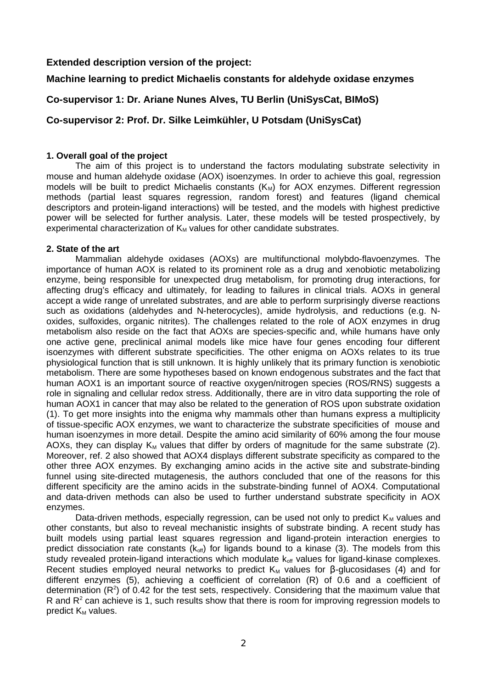### **Extended description version of the project:**

## **Machine learning to predict Michaelis constants for aldehyde oxidase enzymes**

## **Co-supervisor 1: Dr. Ariane Nunes Alves, TU Berlin (UniSysCat, BIMoS)**

## **Co-supervisor 2: Prof. Dr. Silke Leimkühler, U Potsdam (UniSysCat)**

### **1. Overall goal of the project**

The aim of this project is to understand the factors modulating substrate selectivity in mouse and human aldehyde oxidase (AOX) isoenzymes. In order to achieve this goal, regression models will be built to predict Michaelis constants  $(K_M)$  for AOX enzymes. Different regression methods (partial least squares regression, random forest) and features (ligand chemical descriptors and protein-ligand interactions) will be tested, and the models with highest predictive power will be selected for further analysis. Later, these models will be tested prospectively, by experimental characterization of  $K_M$  values for other candidate substrates.

### **2. State of the art**

Mammalian aldehyde oxidases (AOXs) are multifunctional molybdo-flavoenzymes. The importance of human AOX is related to its prominent role as a drug and xenobiotic metabolizing enzyme, being responsible for unexpected drug metabolism, for promoting drug interactions, for affecting drug's efficacy and ultimately, for leading to failures in clinical trials. AOXs in general accept a wide range of unrelated substrates, and are able to perform surprisingly diverse reactions such as oxidations (aldehydes and N-heterocycles), amide hydrolysis, and reductions (e.g. Noxides, sulfoxides, organic nitrites). The challenges related to the role of AOX enzymes in drug metabolism also reside on the fact that AOXs are species-specific and, while humans have only one active gene, preclinical animal models like mice have four genes encoding four different isoenzymes with different substrate specificities. The other enigma on AOXs relates to its true physiological function that is still unknown. It is highly unlikely that its primary function is xenobiotic metabolism. There are some hypotheses based on known endogenous substrates and the fact that human AOX1 is an important source of reactive oxygen/nitrogen species (ROS/RNS) suggests a role in signaling and cellular redox stress. Additionally, there are in vitro data supporting the role of human AOX1 in cancer that may also be related to the generation of ROS upon substrate oxidation (1). To get more insights into the enigma why mammals other than humans express a multiplicity of tissue-specific AOX enzymes, we want to characterize the substrate specificities of mouse and human isoenzymes in more detail. Despite the amino acid similarity of 60% among the four mouse AOXs, they can display  $K_M$  values that differ by orders of magnitude for the same substrate (2). Moreover, ref. 2 also showed that AOX4 displays different substrate specificity as compared to the other three AOX enzymes. By exchanging amino acids in the active site and substrate-binding funnel using site-directed mutagenesis, the authors concluded that one of the reasons for this different specificity are the amino acids in the substrate-binding funnel of AOX4. Computational and data-driven methods can also be used to further understand substrate specificity in AOX enzymes.

Data-driven methods, especially regression, can be used not only to predict  $K_M$  values and other constants, but also to reveal mechanistic insights of substrate binding. A recent study has built models using partial least squares regression and ligand-protein interaction energies to predict dissociation rate constants ( $k_{off}$ ) for ligands bound to a kinase (3). The models from this study revealed protein-ligand interactions which modulate  $k_{off}$  values for ligand-kinase complexes. Recent studies employed neural networks to predict  $K_M$  values for  $\beta$ -glucosidases (4) and for different enzymes (5), achieving a coefficient of correlation (R) of 0.6 and a coefficient of determination ( $R^2$ ) of 0.42 for the test sets, respectively. Considering that the maximum value that R and  $R^2$  can achieve is 1, such results show that there is room for improving regression models to predict  $K_M$  values.